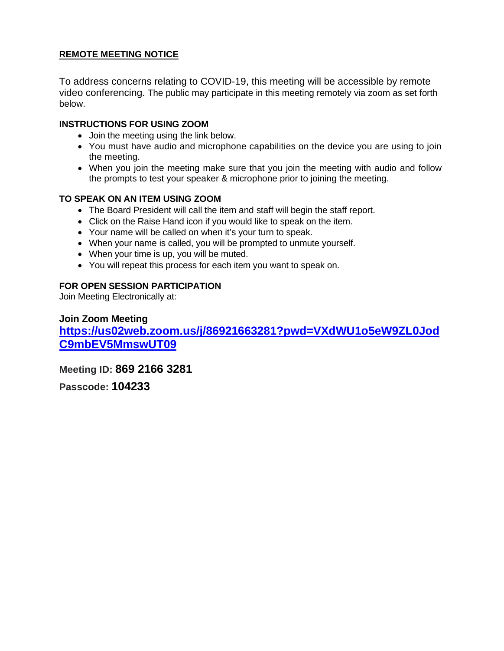# **REMOTE MEETING NOTICE**

To address concerns relating to COVID-19, this meeting will be accessible by remote video conferencing. The public may participate in this meeting remotely via zoom as set forth below.

#### **INSTRUCTIONS FOR USING ZOOM**

- Join the meeting using the link below.
- You must have audio and microphone capabilities on the device you are using to join the meeting.
- When you join the meeting make sure that you join the meeting with audio and follow the prompts to test your speaker & microphone prior to joining the meeting.

#### **TO SPEAK ON AN ITEM USING ZOOM**

- The Board President will call the item and staff will begin the staff report.
- Click on the Raise Hand icon if you would like to speak on the item.
- Your name will be called on when it's your turn to speak.
- When your name is called, you will be prompted to unmute yourself.
- When your time is up, you will be muted.
- You will repeat this process for each item you want to speak on.

#### **FOR OPEN SESSION PARTICIPATION**

Join Meeting Electronically at:

**Join Zoom Meeting [https://us02web.zoom.us/j/86921663281?pwd=VXdWU1o5eW9ZL0Jod](https://us02web.zoom.us/j/86921663281?pwd=VXdWU1o5eW9ZL0JodC9mbEV5MmswUT09) [C9mbEV5MmswUT09](https://us02web.zoom.us/j/86921663281?pwd=VXdWU1o5eW9ZL0JodC9mbEV5MmswUT09)** 

**Meeting ID: 869 2166 3281**

**Passcode: 104233**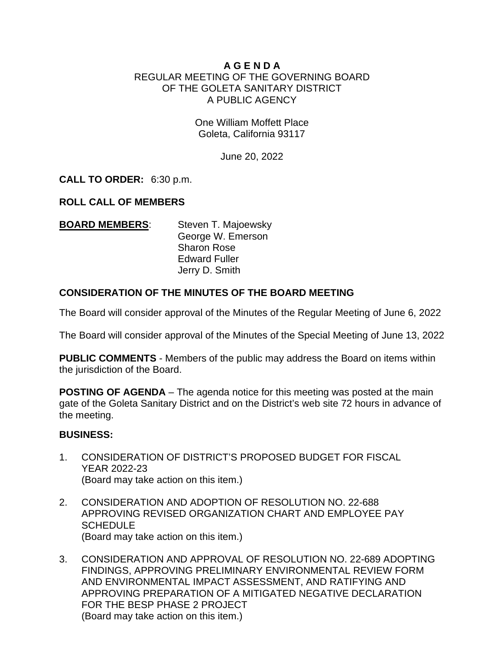# **A G E N D A**  REGULAR MEETING OF THE GOVERNING BOARD OF THE GOLETA SANITARY DISTRICT A PUBLIC AGENCY

One William Moffett Place Goleta, California 93117

June 20, 2022

**CALL TO ORDER:** 6:30 p.m.

# **ROLL CALL OF MEMBERS**

| <b>BOARD MEMBERS:</b> | Steven T. Majoewsky  |
|-----------------------|----------------------|
|                       | George W. Emerson    |
|                       | <b>Sharon Rose</b>   |
|                       | <b>Edward Fuller</b> |
|                       | Jerry D. Smith       |

# **CONSIDERATION OF THE MINUTES OF THE BOARD MEETING**

The Board will consider approval of the Minutes of the Regular Meeting of June 6, 2022

The Board will consider approval of the Minutes of the Special Meeting of June 13, 2022

**PUBLIC COMMENTS** - Members of the public may address the Board on items within the jurisdiction of the Board.

**POSTING OF AGENDA** – The agenda notice for this meeting was posted at the main gate of the Goleta Sanitary District and on the District's web site 72 hours in advance of the meeting.

# **BUSINESS:**

- 1. CONSIDERATION OF DISTRICT'S PROPOSED BUDGET FOR FISCAL YEAR 2022-23 (Board may take action on this item.)
- 2. CONSIDERATION AND ADOPTION OF RESOLUTION NO. 22-688 APPROVING REVISED ORGANIZATION CHART AND EMPLOYEE PAY **SCHEDULE** (Board may take action on this item.)
- 3. CONSIDERATION AND APPROVAL OF RESOLUTION NO. 22-689 ADOPTING FINDINGS, APPROVING PRELIMINARY ENVIRONMENTAL REVIEW FORM AND ENVIRONMENTAL IMPACT ASSESSMENT, AND RATIFYING AND APPROVING PREPARATION OF A MITIGATED NEGATIVE DECLARATION FOR THE BESP PHASE 2 PROJECT (Board may take action on this item.)